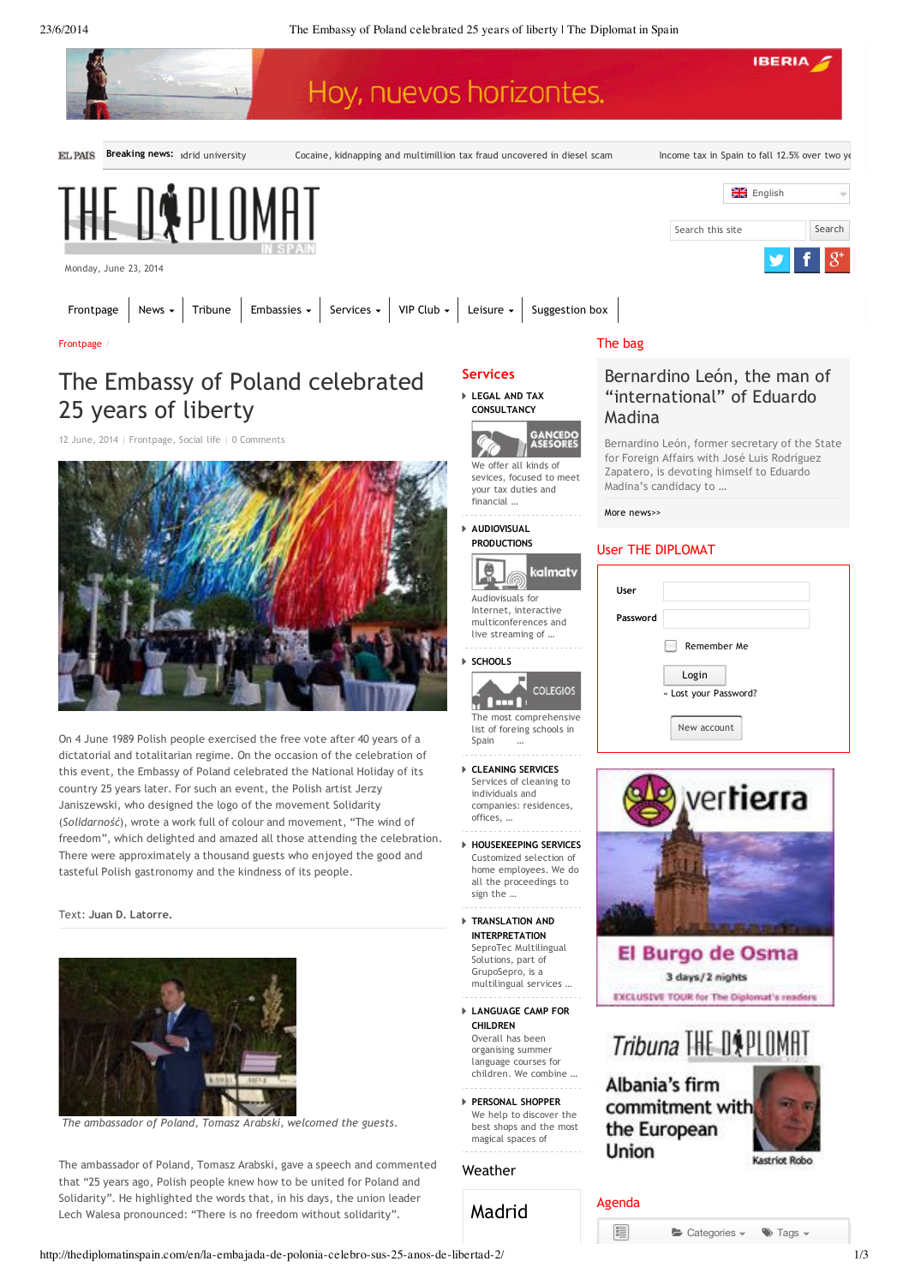

E

Categories -

 $\blacktriangleright$  Tags  $\blacktriangleright$